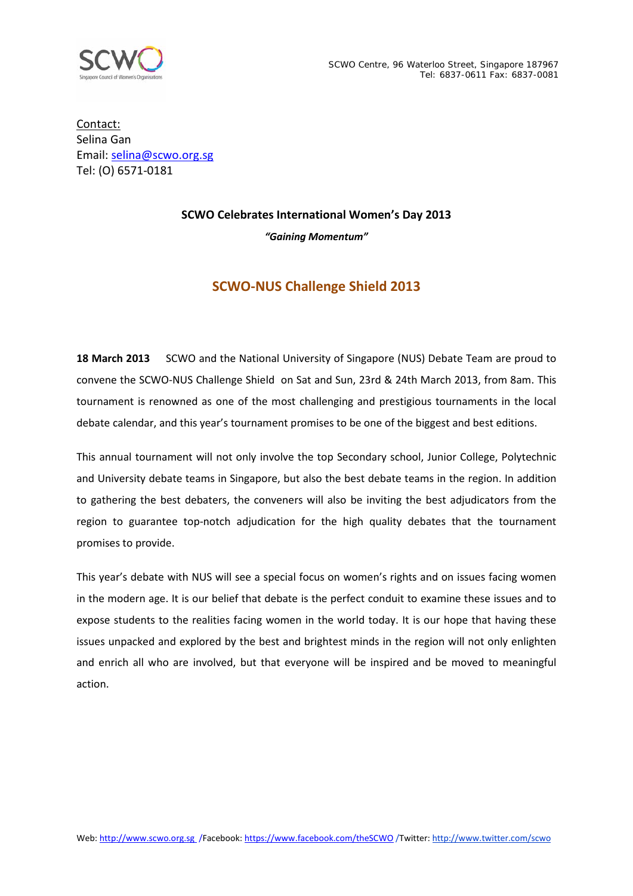

Contact: Selina Gan Email: [selina@scwo.org.sg](mailto:selina@scwo.org.sg) Tel: (O) 6571-0181

## **SCWO Celebrates International Women's Day 2013**

*"Gaining Momentum"*

# **SCWO-NUS Challenge Shield 2013**

**18 March 2013** SCWO and the National University of Singapore (NUS) Debate Team are proud to convene the SCWO-NUS Challenge Shield on Sat and Sun, 23rd & 24th March 2013, from 8am. This tournament is renowned as one of the most challenging and prestigious tournaments in the local debate calendar, and this year's tournament promises to be one of the biggest and best editions.

This annual tournament will not only involve the top Secondary school, Junior College, Polytechnic and University debate teams in Singapore, but also the best debate teams in the region. In addition to gathering the best debaters, the conveners will also be inviting the best adjudicators from the region to guarantee top-notch adjudication for the high quality debates that the tournament promises to provide.

This year's debate with NUS will see a special focus on women's rights and on issues facing women in the modern age. It is our belief that debate is the perfect conduit to examine these issues and to expose students to the realities facing women in the world today. It is our hope that having these issues unpacked and explored by the best and brightest minds in the region will not only enlighten and enrich all who are involved, but that everyone will be inspired and be moved to meaningful action.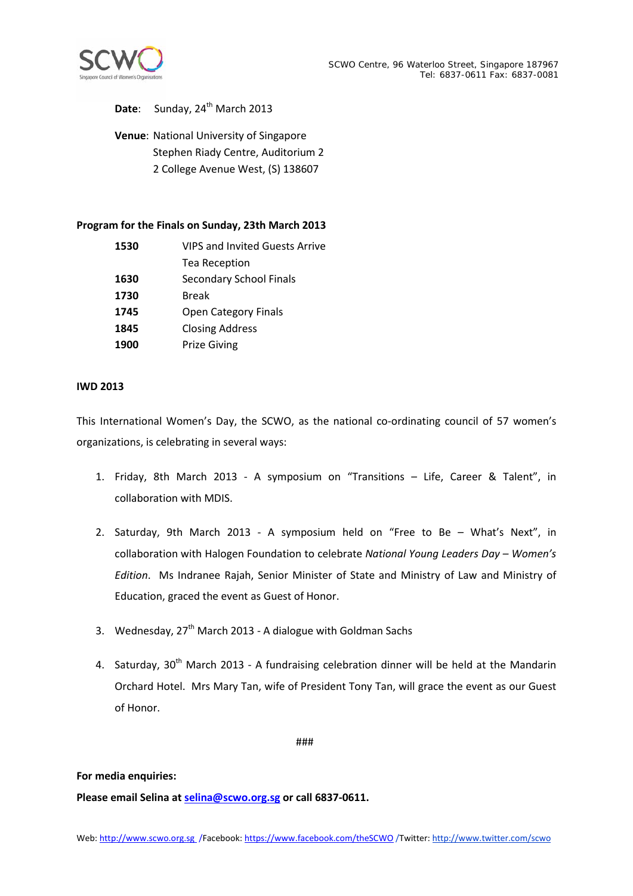

## Date: Sunday, 24<sup>th</sup> March 2013

**Venue**: National University of Singapore Stephen Riady Centre, Auditorium 2 2 College Avenue West, (S) 138607

### **Program for the Finals on Sunday, 23th March 2013**

| 1530 | <b>VIPS and Invited Guests Arrive</b> |
|------|---------------------------------------|
|      | Tea Reception                         |
| 1630 | <b>Secondary School Finals</b>        |
| 1730 | <b>Break</b>                          |
| 1745 | <b>Open Category Finals</b>           |
| 1845 | <b>Closing Address</b>                |
| 1900 | <b>Prize Giving</b>                   |

#### **IWD 2013**

This International Women's Day, the SCWO, as the national co-ordinating council of 57 women's organizations, is celebrating in several ways:

- 1. Friday, 8th March 2013 A symposium on "Transitions Life, Career & Talent", in collaboration with MDIS.
- 2. Saturday, 9th March 2013 A symposium held on "Free to Be What's Next", in collaboration with Halogen Foundation to celebrate *National Young Leaders Day – Women's Edition*. Ms Indranee Rajah, Senior Minister of State and Ministry of Law and Ministry of Education, graced the event as Guest of Honor.
- 3. Wednesday, 27<sup>th</sup> March 2013 A dialogue with Goldman Sachs
- 4. Saturday, 30<sup>th</sup> March 2013 A fundraising celebration dinner will be held at the Mandarin Orchard Hotel. Mrs Mary Tan, wife of President Tony Tan, will grace the event as our Guest of Honor.

###

### **For media enquiries:**

**Please email Selina at [selina@scwo.org.sg](mailto:selina@scwo.org.sg) or call 6837-0611.**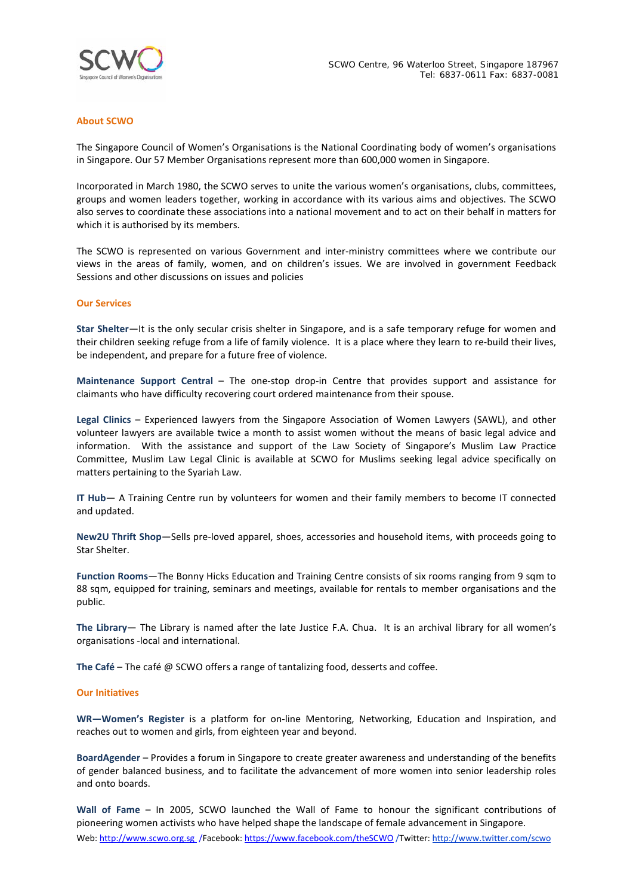

#### **About SCWO**

The Singapore Council of Women's Organisations is the National Coordinating body of women's organisations in Singapore. Our 57 Member Organisations represent more than 600,000 women in Singapore.

Incorporated in March 1980, the SCWO serves to unite the various women's organisations, clubs, committees, groups and women leaders together, working in accordance with its various aims and objectives. The SCWO also serves to coordinate these associations into a national movement and to act on their behalf in matters for which it is authorised by its members.

The SCWO is represented on various Government and inter-ministry committees where we contribute our views in the areas of family, women, and on children's issues. We are involved in government Feedback Sessions and other discussions on issues and policies

#### **Our Services**

**Star Shelter**—It is the only secular crisis shelter in Singapore, and is a safe temporary refuge for women and their children seeking refuge from a life of family violence. It is a place where they learn to re-build their lives, be independent, and prepare for a future free of violence.

**Maintenance Support Central** – The one-stop drop-in Centre that provides support and assistance for claimants who have difficulty recovering court ordered maintenance from their spouse.

**Legal Clinics** – Experienced lawyers from the Singapore Association of Women Lawyers (SAWL), and other volunteer lawyers are available twice a month to assist women without the means of basic legal advice and information. With the assistance and support of the Law Society of Singapore's Muslim Law Practice Committee, Muslim Law Legal Clinic is available at SCWO for Muslims seeking legal advice specifically on matters pertaining to the Syariah Law.

**IT Hub**— A Training Centre run by volunteers for women and their family members to become IT connected and updated.

**New2U Thrift Shop**—Sells pre-loved apparel, shoes, accessories and household items, with proceeds going to Star Shelter.

**Function Rooms**—The Bonny Hicks Education and Training Centre consists of six rooms ranging from 9 sqm to 88 sqm, equipped for training, seminars and meetings, available for rentals to member organisations and the public.

**The Library**— The Library is named after the late Justice F.A. Chua. It is an archival library for all women's organisations -local and international.

**The Café** – The café @ SCWO offers a range of tantalizing food, desserts and coffee.

#### **Our Initiatives**

**WR—Women's Register** is a platform for on-line Mentoring, Networking, Education and Inspiration, and reaches out to women and girls, from eighteen year and beyond.

**BoardAgender** – Provides a forum in Singapore to create greater awareness and understanding of the benefits of gender balanced business, and to facilitate the advancement of more women into senior leadership roles and onto boards.

Web[: http://www.scwo.org.sg](http://www.scwo.org.sg/) /Facebook[: https://www.facebook.com/theSCWO](https://www.facebook.com/theSCWO) /Twitter: http://www.twitter.com/scwo **Wall of Fame** – In 2005, SCWO launched the Wall of Fame to honour the significant contributions of pioneering women activists who have helped shape the landscape of female advancement in Singapore.